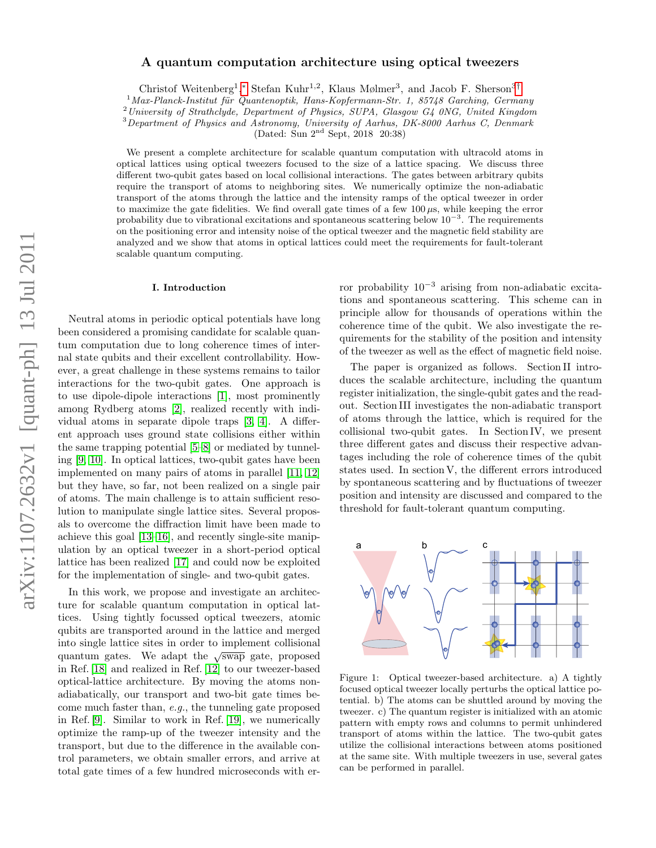# arXiv:1107.2632v1 [quant-ph] 13 Jul 2011 arXiv:1107.2632v1 [quant-ph] 13 Jul 2011

# A quantum computation architecture using optical tweezers

Christof Weitenberg<sup>1</sup>,\* Stefan Kuhr<sup>1,2</sup>, Klaus Mølmer<sup>3</sup>, and Jacob F. Sherson<sup>3[†](#page-8-1)</sup>

 $1$ Max-Planck-Institut für Quantenoptik, Hans-Kopfermann-Str. 1, 85748 Garching, Germany

<sup>2</sup>University of Strathclyde, Department of Physics, SUPA, Glasgow G4 0NG, United Kingdom

<sup>3</sup>Department of Physics and Astronomy, University of Aarhus, DK-8000 Aarhus C, Denmark

(Dated: Sun 2nd Sept, 2018 20:38)

We present a complete architecture for scalable quantum computation with ultracold atoms in optical lattices using optical tweezers focused to the size of a lattice spacing. We discuss three different two-qubit gates based on local collisional interactions. The gates between arbitrary qubits require the transport of atoms to neighboring sites. We numerically optimize the non-adiabatic transport of the atoms through the lattice and the intensity ramps of the optical tweezer in order to maximize the gate fidelities. We find overall gate times of a few  $100 \mu s$ , while keeping the error probability due to vibrational excitations and spontaneous scattering below  $10^{-3}$ . The requirements on the positioning error and intensity noise of the optical tweezer and the magnetic field stability are analyzed and we show that atoms in optical lattices could meet the requirements for fault-tolerant scalable quantum computing.

### I. Introduction

Neutral atoms in periodic optical potentials have long been considered a promising candidate for scalable quantum computation due to long coherence times of internal state qubits and their excellent controllability. However, a great challenge in these systems remains to tailor interactions for the two-qubit gates. One approach is to use dipole-dipole interactions [\[1\]](#page-8-2), most prominently among Rydberg atoms [\[2\]](#page-8-3), realized recently with individual atoms in separate dipole traps [\[3,](#page-8-4) [4\]](#page-8-5). A different approach uses ground state collisions either within the same trapping potential [\[5–](#page-8-6)[8\]](#page-8-7) or mediated by tunneling [\[9,](#page-8-8) [10\]](#page-8-9). In optical lattices, two-qubit gates have been implemented on many pairs of atoms in parallel [\[11,](#page-8-10) [12\]](#page-8-11) but they have, so far, not been realized on a single pair of atoms. The main challenge is to attain sufficient resolution to manipulate single lattice sites. Several proposals to overcome the diffraction limit have been made to achieve this goal [\[13–](#page-8-12)[16\]](#page-8-13), and recently single-site manipulation by an optical tweezer in a short-period optical lattice has been realized [\[17\]](#page-8-14) and could now be exploited for the implementation of single- and two-qubit gates.

In this work, we propose and investigate an architecture for scalable quantum computation in optical lattices. Using tightly focussed optical tweezers, atomic qubits are transported around in the lattice and merged into single lattice sites in order to implement collisional quantum gates. We adapt the  $\sqrt{\text{swap}}$  gate, proposed in Ref. [\[18\]](#page-8-15) and realized in Ref. [\[12\]](#page-8-11) to our tweezer-based optical-lattice architecture. By moving the atoms nonadiabatically, our transport and two-bit gate times become much faster than, e.g., the tunneling gate proposed in Ref. [\[9\]](#page-8-8). Similar to work in Ref. [\[19\]](#page-8-16), we numerically optimize the ramp-up of the tweezer intensity and the transport, but due to the difference in the available control parameters, we obtain smaller errors, and arrive at total gate times of a few hundred microseconds with er-

ror probability  $10^{-3}$  arising from non-adiabatic excitations and spontaneous scattering. This scheme can in principle allow for thousands of operations within the coherence time of the qubit. We also investigate the requirements for the stability of the position and intensity of the tweezer as well as the effect of magnetic field noise.

The paper is organized as follows. Section II introduces the scalable architecture, including the quantum register initialization, the single-qubit gates and the readout. Section III investigates the non-adiabatic transport of atoms through the lattice, which is required for the collisional two-qubit gates. In Section IV, we present three different gates and discuss their respective advantages including the role of coherence times of the qubit states used. In section V, the different errors introduced by spontaneous scattering and by fluctuations of tweezer position and intensity are discussed and compared to the threshold for fault-tolerant quantum computing.



<span id="page-0-0"></span>Figure 1: Optical tweezer-based architecture. a) A tightly focused optical tweezer locally perturbs the optical lattice potential. b) The atoms can be shuttled around by moving the tweezer. c) The quantum register is initialized with an atomic pattern with empty rows and columns to permit unhindered transport of atoms within the lattice. The two-qubit gates utilize the collisional interactions between atoms positioned at the same site. With multiple tweezers in use, several gates can be performed in parallel.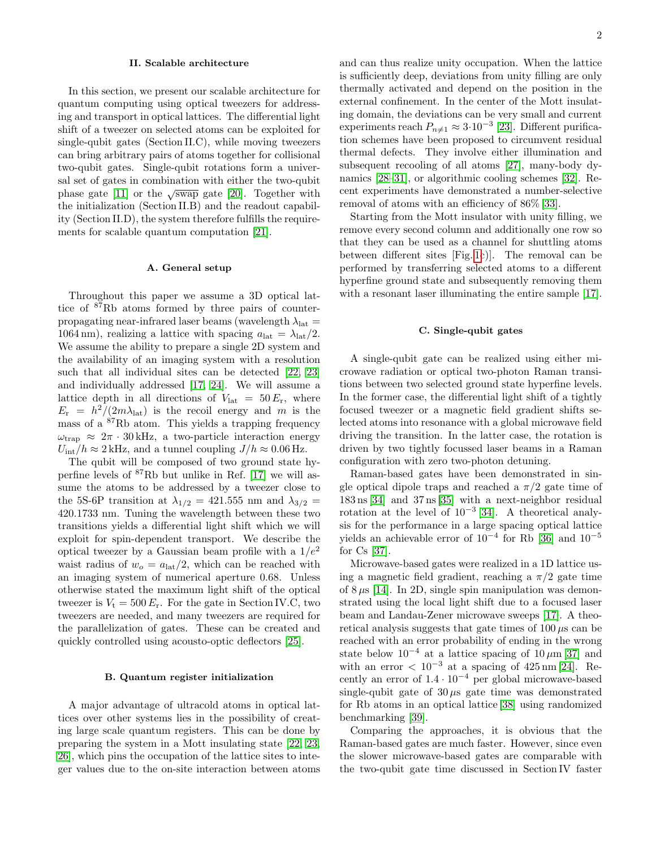### II. Scalable architecture

In this section, we present our scalable architecture for quantum computing using optical tweezers for addressing and transport in optical lattices. The differential light shift of a tweezer on selected atoms can be exploited for single-qubit gates (Section II.C), while moving tweezers can bring arbitrary pairs of atoms together for collisional two-qubit gates. Single-qubit rotations form a universal set of gates in combination with either the two-qubit phase gate [\[11\]](#page-8-10) or the  $\sqrt{\text{swap}}$  gate [\[20\]](#page-8-17). Together with the initialization (Section II.B) and the readout capability (Section II.D), the system therefore fulfills the requirements for scalable quantum computation [\[21\]](#page-8-18).

### A. General setup

Throughout this paper we assume a 3D optical lattice of <sup>87</sup>Rb atoms formed by three pairs of counterpropagating near-infrared laser beams (wavelength  $\lambda_{\text{lat}} =$ 1064 nm), realizing a lattice with spacing  $a_{\text{lat}} = \lambda_{\text{lat}}/2$ . We assume the ability to prepare a single 2D system and the availability of an imaging system with a resolution such that all individual sites can be detected [\[22,](#page-8-19) [23\]](#page-8-20) and individually addressed [\[17,](#page-8-14) [24\]](#page-8-21). We will assume a lattice depth in all directions of  $V_{\text{lat}} = 50 E_{\text{r}}$ , where  $E_{\rm r} = h^2/(2m\lambda_{\rm lat})$  is the recoil energy and m is the mass of a <sup>87</sup>Rb atom. This yields a trapping frequency  $\omega_{\text{trap}} \approx 2\pi \cdot 30 \text{ kHz}$ , a two-particle interaction energy  $U_{\text{int}}/h \approx 2 \text{ kHz}$ , and a tunnel coupling  $J/h \approx 0.06 \text{ Hz}$ .

The qubit will be composed of two ground state hyperfine levels of <sup>87</sup>Rb but unlike in Ref. [\[17\]](#page-8-14) we will assume the atoms to be addressed by a tweezer close to the 5S-6P transition at  $\lambda_{1/2} = 421.555$  nm and  $\lambda_{3/2} =$ 420.1733 nm. Tuning the wavelength between these two transitions yields a differential light shift which we will exploit for spin-dependent transport. We describe the optical tweezer by a Gaussian beam profile with a  $1/e^2$ waist radius of  $w_o = a_{\text{lat}}/2$ , which can be reached with an imaging system of numerical aperture 0.68. Unless otherwise stated the maximum light shift of the optical tweezer is  $V_t = 500 E_r$ . For the gate in Section IV.C, two tweezers are needed, and many tweezers are required for the parallelization of gates. These can be created and quickly controlled using acousto-optic deflectors [\[25\]](#page-8-22).

# B. Quantum register initialization

A major advantage of ultracold atoms in optical lattices over other systems lies in the possibility of creating large scale quantum registers. This can be done by preparing the system in a Mott insulating state [\[22,](#page-8-19) [23,](#page-8-20) [26\]](#page-8-23), which pins the occupation of the lattice sites to integer values due to the on-site interaction between atoms and can thus realize unity occupation. When the lattice is sufficiently deep, deviations from unity filling are only thermally activated and depend on the position in the external confinement. In the center of the Mott insulating domain, the deviations can be very small and current experiments reach  $P_{n\neq 1} \approx 3.10^{-3}$  [\[23\]](#page-8-20). Different purification schemes have been proposed to circumvent residual thermal defects. They involve either illumination and subsequent recooling of all atoms [\[27\]](#page-8-24), many-body dynamics [\[28](#page-8-25)[–31\]](#page-8-26), or algorithmic cooling schemes [\[32\]](#page-8-27). Recent experiments have demonstrated a number-selective removal of atoms with an efficiency of 86% [\[33\]](#page-8-28).

Starting from the Mott insulator with unity filling, we remove every second column and additionally one row so that they can be used as a channel for shuttling atoms between different sites [Fig. [1c](#page-0-0))]. The removal can be performed by transferring selected atoms to a different hyperfine ground state and subsequently removing them with a resonant laser illuminating the entire sample [\[17\]](#page-8-14).

# C. Single-qubit gates

A single-qubit gate can be realized using either microwave radiation or optical two-photon Raman transitions between two selected ground state hyperfine levels. In the former case, the differential light shift of a tightly focused tweezer or a magnetic field gradient shifts selected atoms into resonance with a global microwave field driving the transition. In the latter case, the rotation is driven by two tightly focussed laser beams in a Raman configuration with zero two-photon detuning.

Raman-based gates have been demonstrated in single optical dipole traps and reached a  $\pi/2$  gate time of 183 ns [\[34\]](#page-8-29) and 37 ns [\[35\]](#page-9-0) with a next-neighbor residual rotation at the level of 10<sup>−</sup><sup>3</sup> [\[34\]](#page-8-29). A theoretical analysis for the performance in a large spacing optical lattice yields an achievable error of  $10^{-4}$  for Rb [\[36\]](#page-9-1) and  $10^{-5}$ for Cs [\[37\]](#page-9-2).

Microwave-based gates were realized in a 1D lattice using a magnetic field gradient, reaching a  $\pi/2$  gate time of  $8 \mu s$  [\[14\]](#page-8-30). In 2D, single spin manipulation was demonstrated using the local light shift due to a focused laser beam and Landau-Zener microwave sweeps [\[17\]](#page-8-14). A theoretical analysis suggests that gate times of  $100 \mu s$  can be reached with an error probability of ending in the wrong state below  $10^{-4}$  at a lattice spacing of  $10 \mu m$  [\[37\]](#page-9-2) and with an error  $< 10^{-3}$  at a spacing of 425 nm [\[24\]](#page-8-21). Recently an error of 1.4 · 10<sup>−</sup><sup>4</sup> per global microwave-based single-qubit gate of  $30 \mu s$  gate time was demonstrated for Rb atoms in an optical lattice [\[38\]](#page-9-3) using randomized benchmarking [\[39\]](#page-9-4).

Comparing the approaches, it is obvious that the Raman-based gates are much faster. However, since even the slower microwave-based gates are comparable with the two-qubit gate time discussed in Section IV faster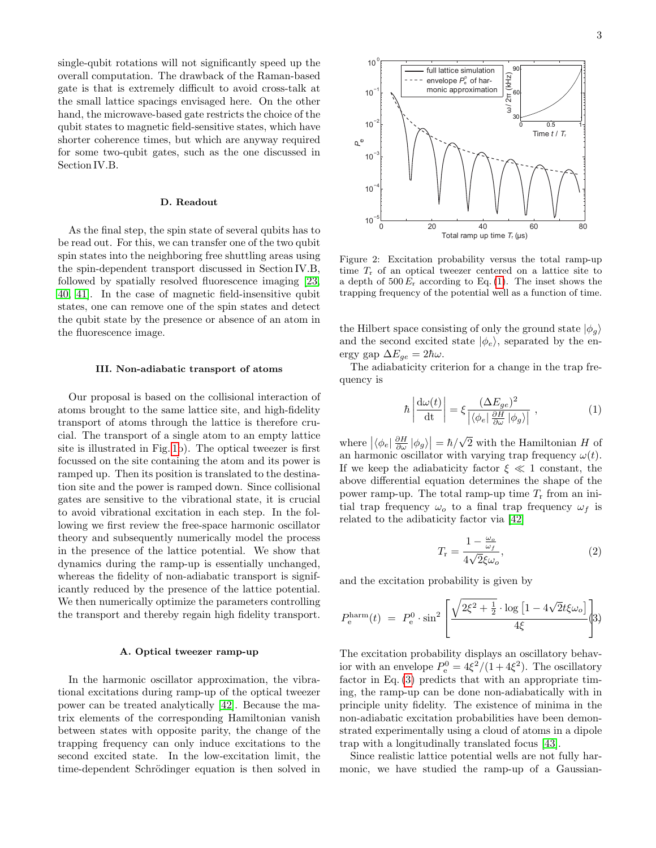single-qubit rotations will not significantly speed up the overall computation. The drawback of the Raman-based gate is that is extremely difficult to avoid cross-talk at the small lattice spacings envisaged here. On the other hand, the microwave-based gate restricts the choice of the qubit states to magnetic field-sensitive states, which have shorter coherence times, but which are anyway required for some two-qubit gates, such as the one discussed in Section IV.B.

### D. Readout

As the final step, the spin state of several qubits has to be read out. For this, we can transfer one of the two qubit spin states into the neighboring free shuttling areas using the spin-dependent transport discussed in Section IV.B, followed by spatially resolved fluorescence imaging [\[23,](#page-8-20) [40,](#page-9-5) [41\]](#page-9-6). In the case of magnetic field-insensitive qubit states, one can remove one of the spin states and detect the qubit state by the presence or absence of an atom in the fluorescence image.

### III. Non-adiabatic transport of atoms

Our proposal is based on the collisional interaction of atoms brought to the same lattice site, and high-fidelity transport of atoms through the lattice is therefore crucial. The transport of a single atom to an empty lattice site is illustrated in Fig. [1b](#page-0-0)). The optical tweezer is first focussed on the site containing the atom and its power is ramped up. Then its position is translated to the destination site and the power is ramped down. Since collisional gates are sensitive to the vibrational state, it is crucial to avoid vibrational excitation in each step. In the following we first review the free-space harmonic oscillator theory and subsequently numerically model the process in the presence of the lattice potential. We show that dynamics during the ramp-up is essentially unchanged, whereas the fidelity of non-adiabatic transport is significantly reduced by the presence of the lattice potential. We then numerically optimize the parameters controlling the transport and thereby regain high fidelity transport.

### A. Optical tweezer ramp-up

In the harmonic oscillator approximation, the vibrational excitations during ramp-up of the optical tweezer power can be treated analytically [\[42\]](#page-9-7). Because the matrix elements of the corresponding Hamiltonian vanish between states with opposite parity, the change of the trapping frequency can only induce excitations to the second excited state. In the low-excitation limit, the time-dependent Schrödinger equation is then solved in



<span id="page-2-2"></span>Figure 2: Excitation probability versus the total ramp-up time  $T_r$  of an optical tweezer centered on a lattice site to a depth of  $500 E_r$  according to Eq. [\(1\)](#page-2-0). The inset shows the trapping frequency of the potential well as a function of time.

the Hilbert space consisting of only the ground state  $|\phi_q\rangle$ and the second excited state  $|\phi_e\rangle$ , separated by the energy gap  $\Delta E_{qe} = 2\hbar\omega$ .

The adiabaticity criterion for a change in the trap frequency is

<span id="page-2-0"></span>
$$
\hbar \left| \frac{d\omega(t)}{dt} \right| = \xi \frac{(\Delta E_{ge})^2}{\left| \langle \phi_e | \frac{\partial H}{\partial \omega} | \phi_g \rangle \right|} , \qquad (1)
$$

where  $|\langle \phi_e | \frac{\partial H}{\partial \omega} | \phi_g \rangle| = \hbar / \sqrt{2}$  with the Hamiltonian H of an harmonic oscillator with varying trap frequency  $\omega(t)$ . If we keep the adiabaticity factor  $\xi \ll 1$  constant, the above differential equation determines the shape of the power ramp-up. The total ramp-up time  $T_r$  from an initial trap frequency  $\omega_o$  to a final trap frequency  $\omega_f$  is related to the adibaticity factor via [\[42\]](#page-9-7)

<span id="page-2-3"></span>
$$
T_{\rm r} = \frac{1 - \frac{\omega_o}{\omega_f}}{4\sqrt{2}\xi\omega_o},\tag{2}
$$

and the excitation probability is given by

<span id="page-2-1"></span>
$$
P_{\rm e}^{\rm harm}(t) \ = \ P_{\rm e}^0 \cdot \sin^2 \left[ \frac{\sqrt{2\xi^2 + \frac{1}{2}} \cdot \log \left[ 1 - 4\sqrt{2}t\xi\omega_o \right]}{4\xi} \right] \tag{3}
$$

The excitation probability displays an oscillatory behavior with an envelope  $P_e^0 = 4\xi^2/(1+4\xi^2)$ . The oscillatory factor in Eq. [\(3\)](#page-2-1) predicts that with an appropriate timing, the ramp-up can be done non-adiabatically with in principle unity fidelity. The existence of minima in the non-adiabatic excitation probabilities have been demonstrated experimentally using a cloud of atoms in a dipole trap with a longitudinally translated focus [\[43\]](#page-9-8).

Since realistic lattice potential wells are not fully harmonic, we have studied the ramp-up of a Gaussian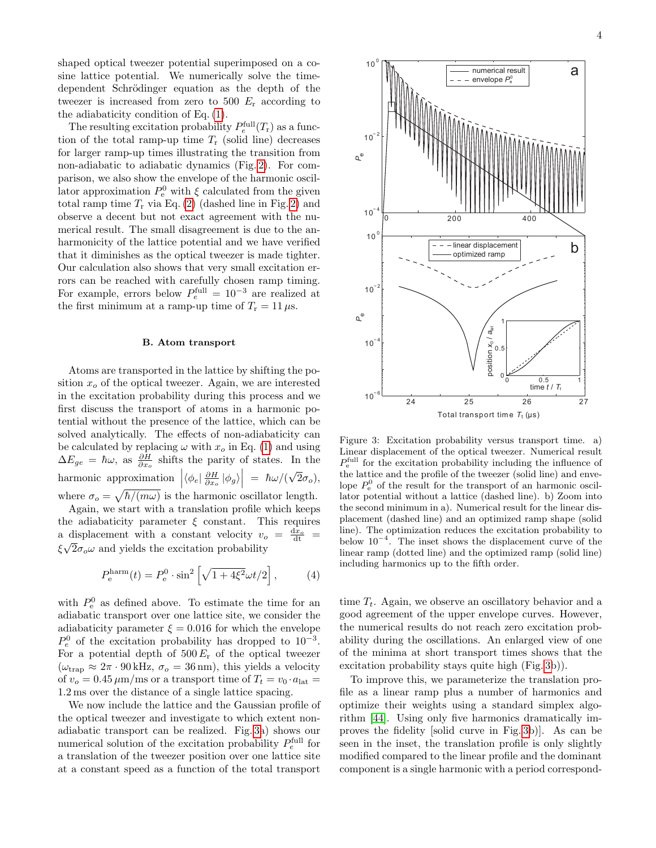shaped optical tweezer potential superimposed on a cosine lattice potential. We numerically solve the timedependent Schrödinger equation as the depth of the tweezer is increased from zero to 500  $E_r$  according to the adiabaticity condition of Eq. [\(1\)](#page-2-0).

The resulting excitation probability  $P_e^{\text{full}}(T_r)$  as a function of the total ramp-up time  $T_r$  (solid line) decreases for larger ramp-up times illustrating the transition from non-adiabatic to adiabatic dynamics (Fig. [2\)](#page-2-2). For comparison, we also show the envelope of the harmonic oscillator approximation  $P_e^0$  with  $\xi$  calculated from the given total ramp time  $T_r$  via Eq. [\(2\)](#page-2-3) (dashed line in Fig. [2\)](#page-2-2) and observe a decent but not exact agreement with the numerical result. The small disagreement is due to the anharmonicity of the lattice potential and we have verified that it diminishes as the optical tweezer is made tighter. Our calculation also shows that very small excitation errors can be reached with carefully chosen ramp timing. For example, errors below  $P_e^{\text{full}} = 10^{-3}$  are realized at the first minimum at a ramp-up time of  $T_r = 11 \,\mu s$ .

### B. Atom transport

Atoms are transported in the lattice by shifting the position  $x<sub>o</sub>$  of the optical tweezer. Again, we are interested in the excitation probability during this process and we first discuss the transport of atoms in a harmonic potential without the presence of the lattice, which can be solved analytically. The effects of non-adiabaticity can be calculated by replacing  $\omega$  with  $x_o$  in Eq. [\(1\)](#page-2-0) and using  $\Delta E_{ge} = \hbar \omega$ , as  $\frac{\partial H}{\partial x_o}$  shifts the parity of states. In the harmonic approximation  $\left| \langle \phi_e | \frac{\partial H}{\partial x_o} | \phi_g \rangle \right| = \hbar \omega / (\sqrt{2} \sigma_o),$ √ where  $\sigma_o = \sqrt{\hbar/(m\omega)}$  is the harmonic oscillator length. Again, we start with a translation profile which keeps

the adiabaticity parameter  $\xi$  constant. This requires a displacement with a constant velocity  $v_o = \frac{dx_o}{dt}$  $\xi\sqrt{2\sigma_o\omega}$  and yields the excitation probability

$$
P_{\rm e}^{\rm harm}(t) = P_{\rm e}^0 \cdot \sin^2\left[\sqrt{1 + 4\xi^2}\omega t/2\right],\tag{4}
$$

with  $P_e^0$  as defined above. To estimate the time for an adiabatic transport over one lattice site, we consider the adiabaticity parameter  $\xi = 0.016$  for which the envelope  $P_e^0$  of the excitation probability has dropped to  $10^{-3}$ . For a potential depth of  $500 E_r$  of the optical tweezer  $(\omega_{\text{trap}} \approx 2\pi \cdot 90 \text{ kHz}, \sigma_o = 36 \text{ nm}),$  this yields a velocity of  $v_o = 0.45 \,\mu\text{m/ms}$  or a transport time of  $T_t = v_0 \cdot a_{\text{lat}} =$ 1.2 ms over the distance of a single lattice spacing.

We now include the lattice and the Gaussian profile of the optical tweezer and investigate to which extent nonadiabatic transport can be realized. Fig. [3a](#page-3-0)) shows our numerical solution of the excitation probability  $P_e^{\text{full}}$  for a translation of the tweezer position over one lattice site at a constant speed as a function of the total transport



<span id="page-3-0"></span>Figure 3: Excitation probability versus transport time. a) Linear displacement of the optical tweezer. Numerical result  $P_{\rm e}^{\rm full}$  for the excitation probability including the influence of the lattice and the profile of the tweezer (solid line) and envelope  $P_e^0$  of the result for the transport of an harmonic oscillator potential without a lattice (dashed line). b) Zoom into the second minimum in a). Numerical result for the linear displacement (dashed line) and an optimized ramp shape (solid line). The optimization reduces the excitation probability to below 10<sup>−</sup><sup>4</sup> . The inset shows the displacement curve of the linear ramp (dotted line) and the optimized ramp (solid line) including harmonics up to the fifth order.

time  $T_t$ . Again, we observe an oscillatory behavior and a good agreement of the upper envelope curves. However, the numerical results do not reach zero excitation probability during the oscillations. An enlarged view of one of the minima at short transport times shows that the excitation probability stays quite high (Fig. [3b](#page-3-0))).

To improve this, we parameterize the translation profile as a linear ramp plus a number of harmonics and optimize their weights using a standard simplex algorithm [\[44\]](#page-9-9). Using only five harmonics dramatically improves the fidelity [solid curve in Fig. [3b](#page-3-0))]. As can be seen in the inset, the translation profile is only slightly modified compared to the linear profile and the dominant component is a single harmonic with a period correspond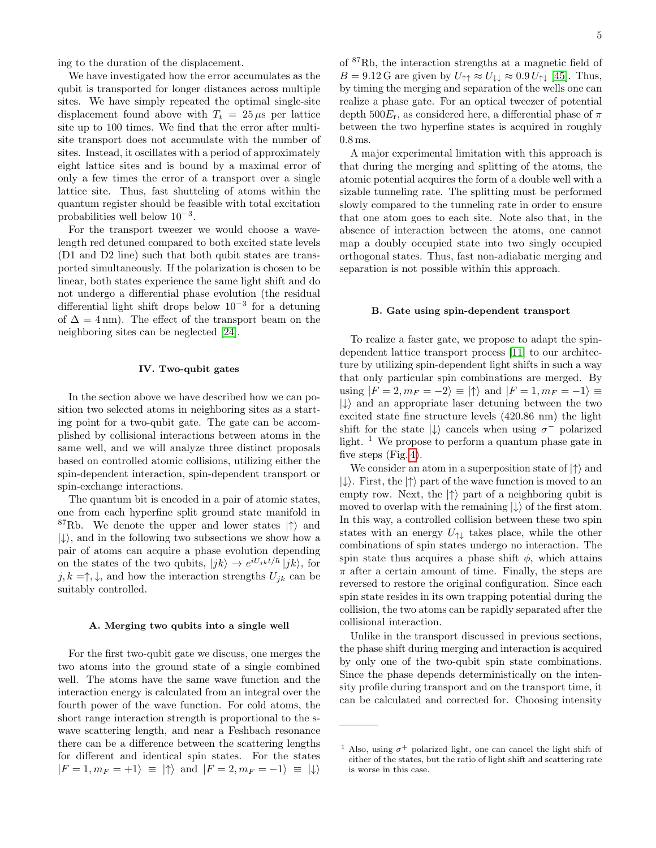ing to the duration of the displacement.

We have investigated how the error accumulates as the qubit is transported for longer distances across multiple sites. We have simply repeated the optimal single-site displacement found above with  $T_t = 25 \,\mu s$  per lattice site up to 100 times. We find that the error after multisite transport does not accumulate with the number of sites. Instead, it oscillates with a period of approximately eight lattice sites and is bound by a maximal error of only a few times the error of a transport over a single lattice site. Thus, fast shutteling of atoms within the quantum register should be feasible with total excitation probabilities well below  $10^{-3}$ .

For the transport tweezer we would choose a wavelength red detuned compared to both excited state levels (D1 and D2 line) such that both qubit states are transported simultaneously. If the polarization is chosen to be linear, both states experience the same light shift and do not undergo a differential phase evolution (the residual differential light shift drops below  $10^{-3}$  for a detuning of  $\Delta = 4 \text{ nm}$ . The effect of the transport beam on the neighboring sites can be neglected [\[24\]](#page-8-21).

### IV. Two-qubit gates

In the section above we have described how we can position two selected atoms in neighboring sites as a starting point for a two-qubit gate. The gate can be accomplished by collisional interactions between atoms in the same well, and we will analyze three distinct proposals based on controlled atomic collisions, utilizing either the spin-dependent interaction, spin-dependent transport or spin-exchange interactions.

The quantum bit is encoded in a pair of atomic states, one from each hyperfine split ground state manifold in <sup>87</sup>Rb. We denote the upper and lower states  $|\uparrow\rangle$  and  $|\downarrow\rangle$ , and in the following two subsections we show how a pair of atoms can acquire a phase evolution depending on the states of the two qubits,  $|jk\rangle \rightarrow e^{iU_{jk}t/\hbar} |jk\rangle$ , for  $j, k = \uparrow, \downarrow$ , and how the interaction strengths  $U_{ik}$  can be suitably controlled.

### A. Merging two qubits into a single well

For the first two-qubit gate we discuss, one merges the two atoms into the ground state of a single combined well. The atoms have the same wave function and the interaction energy is calculated from an integral over the fourth power of the wave function. For cold atoms, the short range interaction strength is proportional to the swave scattering length, and near a Feshbach resonance there can be a difference between the scattering lengths for different and identical spin states. For the states  $|F = 1, m_F = +1\rangle \equiv |\uparrow\rangle$  and  $|F = 2, m_F = -1\rangle \equiv |\downarrow\rangle$ 

of <sup>87</sup>Rb, the interaction strengths at a magnetic field of  $B = 9.12 \text{ G}$  are given by  $U_{\uparrow \uparrow} \approx U_{\downarrow \downarrow} \approx 0.9 U_{\uparrow \downarrow}$  [\[45\]](#page-9-10). Thus, by timing the merging and separation of the wells one can realize a phase gate. For an optical tweezer of potential depth  $500E_r$ , as considered here, a differential phase of  $\pi$ between the two hyperfine states is acquired in roughly 0.8 ms.

A major experimental limitation with this approach is that during the merging and splitting of the atoms, the atomic potential acquires the form of a double well with a sizable tunneling rate. The splitting must be performed slowly compared to the tunneling rate in order to ensure that one atom goes to each site. Note also that, in the absence of interaction between the atoms, one cannot map a doubly occupied state into two singly occupied orthogonal states. Thus, fast non-adiabatic merging and separation is not possible within this approach.

# B. Gate using spin-dependent transport

To realize a faster gate, we propose to adapt the spindependent lattice transport process [\[11\]](#page-8-10) to our architecture by utilizing spin-dependent light shifts in such a way that only particular spin combinations are merged. By using  $|F = 2, m_F = -2\rangle \equiv |\uparrow\rangle$  and  $|F = 1, m_F = -1\rangle \equiv$  $|\downarrow\rangle$  and an appropriate laser detuning between the two excited state fine structure levels (420.86 nm) the light shift for the state  $|\downarrow\rangle$  cancels when using  $\sigma^-$  polarized light.  $\frac{1}{1}$  We propose to perform a quantum phase gate in five steps (Fig. [4\)](#page-5-0).

We consider an atom in a superposition state of  $|\uparrow\rangle$  and  $|\downarrow\rangle$ . First, the  $|\uparrow\rangle$  part of the wave function is moved to an empty row. Next, the  $|\uparrow\rangle$  part of a neighboring qubit is moved to overlap with the remaining  $|\downarrow\rangle$  of the first atom. In this way, a controlled collision between these two spin states with an energy  $U_{\uparrow\downarrow}$  takes place, while the other combinations of spin states undergo no interaction. The spin state thus acquires a phase shift  $\phi$ , which attains  $\pi$  after a certain amount of time. Finally, the steps are reversed to restore the original configuration. Since each spin state resides in its own trapping potential during the collision, the two atoms can be rapidly separated after the collisional interaction.

Unlike in the transport discussed in previous sections, the phase shift during merging and interaction is acquired by only one of the two-qubit spin state combinations. Since the phase depends deterministically on the intensity profile during transport and on the transport time, it can be calculated and corrected for. Choosing intensity

<sup>&</sup>lt;sup>1</sup> Also, using  $\sigma^+$  polarized light, one can cancel the light shift of either of the states, but the ratio of light shift and scattering rate is worse in this case.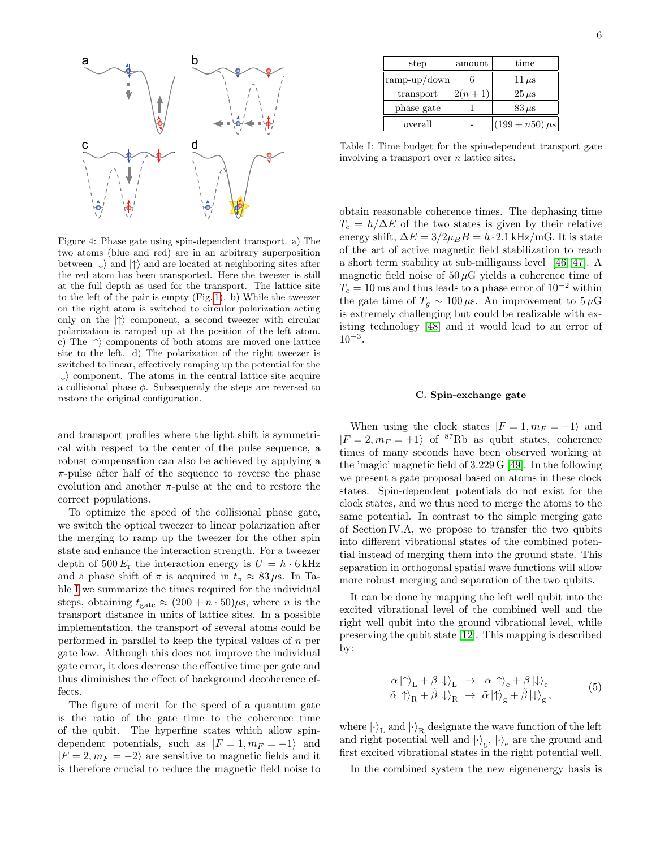

<span id="page-5-0"></span>Figure 4: Phase gate using spin-dependent transport. a) The two atoms (blue and red) are in an arbitrary superposition between  $|\downarrow\rangle$  and  $|\uparrow\rangle$  and are located at neighboring sites after the red atom has been transported. Here the tweezer is still at the full depth as used for the transport. The lattice site to the left of the pair is empty (Fig. [1\)](#page-0-0). b) While the tweezer on the right atom is switched to circular polarization acting only on the  $|\uparrow\rangle$  component, a second tweezer with circular polarization is ramped up at the position of the left atom. c) The  $|\uparrow\rangle$  components of both atoms are moved one lattice site to the left. d) The polarization of the right tweezer is switched to linear, effectively ramping up the potential for the  $|\downarrow\rangle$  component. The atoms in the central lattice site acquire a collisional phase  $\phi$ . Subsequently the steps are reversed to restore the original configuration.

and transport profiles where the light shift is symmetrical with respect to the center of the pulse sequence, a robust compensation can also be achieved by applying a  $\pi$ -pulse after half of the sequence to reverse the phase evolution and another  $\pi$ -pulse at the end to restore the correct populations.

To optimize the speed of the collisional phase gate, we switch the optical tweezer to linear polarization after the merging to ramp up the tweezer for the other spin state and enhance the interaction strength. For a tweezer depth of 500  $E_r$  the interaction energy is  $U = h \cdot 6$  kHz and a phase shift of  $\pi$  is acquired in  $t_{\pi} \approx 83 \,\mu s$ . In Table [I](#page-5-1) we summarize the times required for the individual steps, obtaining  $t_{\text{gate}} \approx (200 + n \cdot 50)\mu$ s, where *n* is the transport distance in units of lattice sites. In a possible implementation, the transport of several atoms could be performed in parallel to keep the typical values of  $n$  per gate low. Although this does not improve the individual gate error, it does decrease the effective time per gate and thus diminishes the effect of background decoherence effects.

The figure of merit for the speed of a quantum gate is the ratio of the gate time to the coherence time of the qubit. The hyperfine states which allow spindependent potentials, such as  $|F = 1, m_F = -1\rangle$  and  $|F = 2, m_F = -2$  are sensitive to magnetic fields and it is therefore crucial to reduce the magnetic field noise to

| step           | amount   | time               |
|----------------|----------|--------------------|
| $ramp-up/down$ |          | $11 \,\mu s$       |
| transport      | $2(n+1)$ | $25 \,\mu s$       |
| phase gate     |          | $83 \,\mu s$       |
| overall        |          | $(199+n50)\,\mu s$ |

<span id="page-5-1"></span>Table I: Time budget for the spin-dependent transport gate involving a transport over  $n$  lattice sites.

obtain reasonable coherence times. The dephasing time  $T_c = h/\Delta E$  of the two states is given by their relative energy shift,  $\Delta E = 3/2\mu_B B = h \cdot 2.1 \text{ kHz/mG}$ . It is state of the art of active magnetic field stabilization to reach a short term stability at sub-milligauss level [\[46,](#page-9-11) [47\]](#page-9-12). A magnetic field noise of  $50 \mu$ G yields a coherence time of  $T_c = 10\,\mathrm{ms}$  and thus leads to a phase error of  $10^{-2}$  within the gate time of  $T_a \sim 100 \,\mu s$ . An improvement to  $5 \,\mu\text{G}$ is extremely challenging but could be realizable with existing technology [\[48\]](#page-9-13) and it would lead to an error of  $10^{-3}$ .

### C. Spin-exchange gate

When using the clock states  $|F = 1, m_F = -1\rangle$  and  $|F = 2, m_F = +1\rangle$  of <sup>87</sup>Rb as qubit states, coherence times of many seconds have been observed working at the 'magic' magnetic field of 3.229 G [\[49\]](#page-9-14). In the following we present a gate proposal based on atoms in these clock states. Spin-dependent potentials do not exist for the clock states, and we thus need to merge the atoms to the same potential. In contrast to the simple merging gate of Section IV.A, we propose to transfer the two qubits into different vibrational states of the combined potential instead of merging them into the ground state. This separation in orthogonal spatial wave functions will allow more robust merging and separation of the two qubits.

It can be done by mapping the left well qubit into the excited vibrational level of the combined well and the right well qubit into the ground vibrational level, while preserving the qubit state [\[12\]](#page-8-11). This mapping is described by:

$$
\alpha \left| \uparrow \right\rangle_{\mathcal{L}} + \beta \left| \downarrow \right\rangle_{\mathcal{L}} \rightarrow \alpha \left| \uparrow \right\rangle_{\mathsf{e}} + \beta \left| \downarrow \right\rangle_{\mathsf{e}} \n\tilde{\alpha} \left| \uparrow \right\rangle_{\mathcal{R}} + \tilde{\beta} \left| \downarrow \right\rangle_{\mathcal{R}} \rightarrow \tilde{\alpha} \left| \uparrow \right\rangle_{\mathsf{g}} + \tilde{\beta} \left| \downarrow \right\rangle_{\mathsf{g}},
$$
\n(5)

where  $\ket{\cdot}_{\mathrm{L}}$  and  $\ket{\cdot}_{\mathrm{R}}$  designate the wave function of the left and right potential well and  $|\cdot\rangle_{\text{g}}$ ,  $|\cdot\rangle_{\text{e}}$  are the ground and first excited vibrational states in the right potential well.

In the combined system the new eigenenergy basis is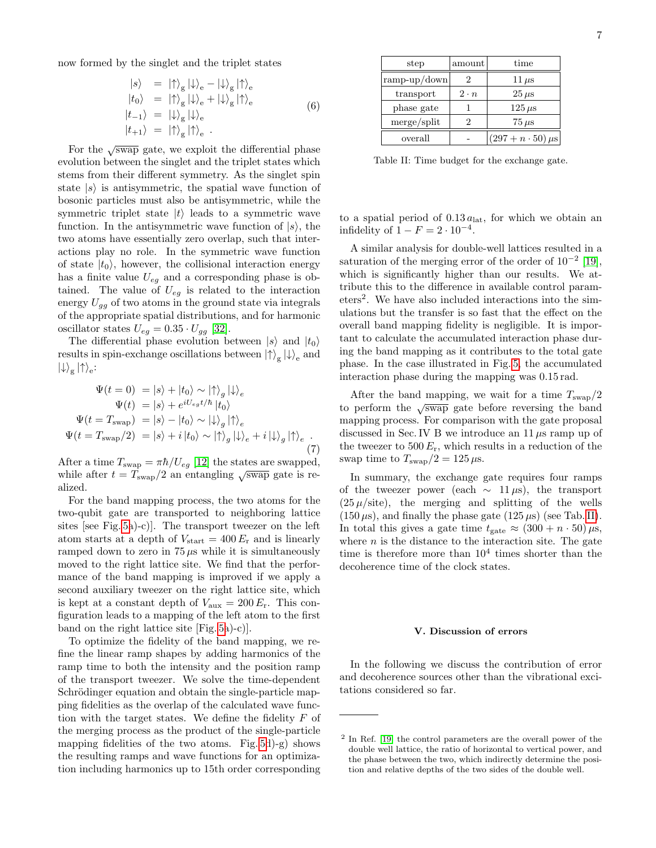now formed by the singlet and the triplet states

$$
\begin{aligned}\n|s\rangle &= |\uparrow\rangle_{\rm g} |\downarrow\rangle_{\rm e} - |\downarrow\rangle_{\rm g} |\uparrow\rangle_{\rm e} \\
|t_0\rangle &= |\uparrow\rangle_{\rm g} |\downarrow\rangle_{\rm e} + |\downarrow\rangle_{\rm g} |\uparrow\rangle_{\rm e} \\
|t_{-1}\rangle &= |\downarrow\rangle_{\rm g} |\downarrow\rangle_{\rm e} \\
|t_{+1}\rangle &= |\uparrow\rangle_{\rm g} |\uparrow\rangle_{\rm e} .\n\end{aligned} \tag{6}
$$

For the  $\sqrt{\text{swap}}$  gate, we exploit the differential phase evolution between the singlet and the triplet states which stems from their different symmetry. As the singlet spin state  $|s\rangle$  is antisymmetric, the spatial wave function of bosonic particles must also be antisymmetric, while the symmetric triplet state  $|t\rangle$  leads to a symmetric wave function. In the antisymmetric wave function of  $|s\rangle$ , the two atoms have essentially zero overlap, such that interactions play no role. In the symmetric wave function of state  $|t_0\rangle$ , however, the collisional interaction energy has a finite value  $U_{eg}$  and a corresponding phase is obtained. The value of  $U_{eg}$  is related to the interaction energy  $U_{qq}$  of two atoms in the ground state via integrals of the appropriate spatial distributions, and for harmonic oscillator states  $U_{eg} = 0.35 \cdot U_{gg}$  [\[32\]](#page-8-27).

The differential phase evolution between  $|s\rangle$  and  $|t_0\rangle$ results in spin-exchange oscillations between  $\left|\uparrow\right\rangle_{\text{g}}\left|\downarrow\right\rangle_{\text{e}}$  and  $\ket{\downarrow}_{\text{g}}\ket{\uparrow}_{\text{e}}$ :

$$
\Psi(t = 0) = |s\rangle + |t_0\rangle \sim |\uparrow\rangle_g |\downarrow\rangle_e
$$
  
\n
$$
\Psi(t) = |s\rangle + e^{iU_{eg}t/\hbar} |t_0\rangle
$$
  
\n
$$
\Psi(t = T_{\text{swap}}) = |s\rangle - |t_0\rangle \sim |\downarrow\rangle_g |\uparrow\rangle_e
$$
  
\n
$$
\Psi(t = T_{\text{swap}}/2) = |s\rangle + i |t_0\rangle \sim |\uparrow\rangle_g |\downarrow\rangle_e + i |\downarrow\rangle_g |\uparrow\rangle_e
$$
 (7)

After a time  $T_{\text{swap}} = \pi \hbar / U_{eg}$  [\[12\]](#page-8-11) the states are swapped, while after  $t = T_{\text{swap}}/2$  an entangling  $\sqrt{\text{swap}}$  gate is realized.

For the band mapping process, the two atoms for the two-qubit gate are transported to neighboring lattice sites [see Fig. [5a](#page-7-0))-c)]. The transport tweezer on the left atom starts at a depth of  $V_{\text{start}} = 400 E_{\text{r}}$  and is linearly ramped down to zero in  $75 \mu s$  while it is simultaneously moved to the right lattice site. We find that the performance of the band mapping is improved if we apply a second auxiliary tweezer on the right lattice site, which is kept at a constant depth of  $V_{\text{aux}} = 200 E_{\text{r}}$ . This configuration leads to a mapping of the left atom to the first band on the right lattice site [Fig. [5a](#page-7-0))-c)].

To optimize the fidelity of the band mapping, we refine the linear ramp shapes by adding harmonics of the ramp time to both the intensity and the position ramp of the transport tweezer. We solve the time-dependent Schrödinger equation and obtain the single-particle mapping fidelities as the overlap of the calculated wave function with the target states. We define the fidelity  $F$  of the merging process as the product of the single-particle mapping fidelities of the two atoms. Fig.  $5d$ )-g) shows the resulting ramps and wave functions for an optimization including harmonics up to 15th order corresponding

| step         | amount      | time                         |
|--------------|-------------|------------------------------|
| ramp-up/down | 2           | $11 \,\mu s$                 |
| transport    | $2 \cdot n$ | $25 \,\mu s$                 |
| phase gate   |             | $125 \,\mu s$                |
| merge/split  | 2           | $75 \,\mu s$                 |
| overall      |             | $(297 + n \cdot 50) \,\mu s$ |

<span id="page-6-0"></span>Table II: Time budget for the exchange gate.

to a spatial period of  $0.13 a_{\text{lat}}$ , for which we obtain an infidelity of  $1 - F = 2 \cdot 10^{-4}$ .

A similar analysis for double-well lattices resulted in a saturation of the merging error of the order of  $10^{-2}$  [\[19\]](#page-8-16), which is significantly higher than our results. We attribute this to the difference in available control parameters<sup>2</sup> . We have also included interactions into the simulations but the transfer is so fast that the effect on the overall band mapping fidelity is negligible. It is important to calculate the accumulated interaction phase during the band mapping as it contributes to the total gate phase. In the case illustrated in Fig. [5,](#page-7-0) the accumulated interaction phase during the mapping was 0.15 rad.

After the band mapping, we wait for a time  $T_{\text{swap}}/2$ to perform the  $\sqrt{\text{swap}}$  gate before reversing the band mapping process. For comparison with the gate proposal discussed in Sec. IV B we introduce an 11  $\mu$ s ramp up of the tweezer to  $500 E_r$ , which results in a reduction of the swap time to  $T_{swap}/2 = 125 \,\mu s$ .

In summary, the exchange gate requires four ramps of the tweezer power (each  $\sim$  11  $\mu$ s), the transport  $(25 \mu \text{/site})$ , the merging and splitting of the wells  $(150 \,\mu s)$ , and finally the phase gate  $(125 \,\mu s)$  (see Tab. [II\)](#page-6-0). In total this gives a gate time  $t_{\text{gate}} \approx (300 + n \cdot 50) \,\mu\text{s}$ , where  $n$  is the distance to the interaction site. The gate time is therefore more than  $10<sup>4</sup>$  times shorter than the decoherence time of the clock states.

# V. Discussion of errors

In the following we discuss the contribution of error and decoherence sources other than the vibrational excitations considered so far.

<sup>2</sup> In Ref. [\[19\]](#page-8-16) the control parameters are the overall power of the double well lattice, the ratio of horizontal to vertical power, and the phase between the two, which indirectly determine the position and relative depths of the two sides of the double well.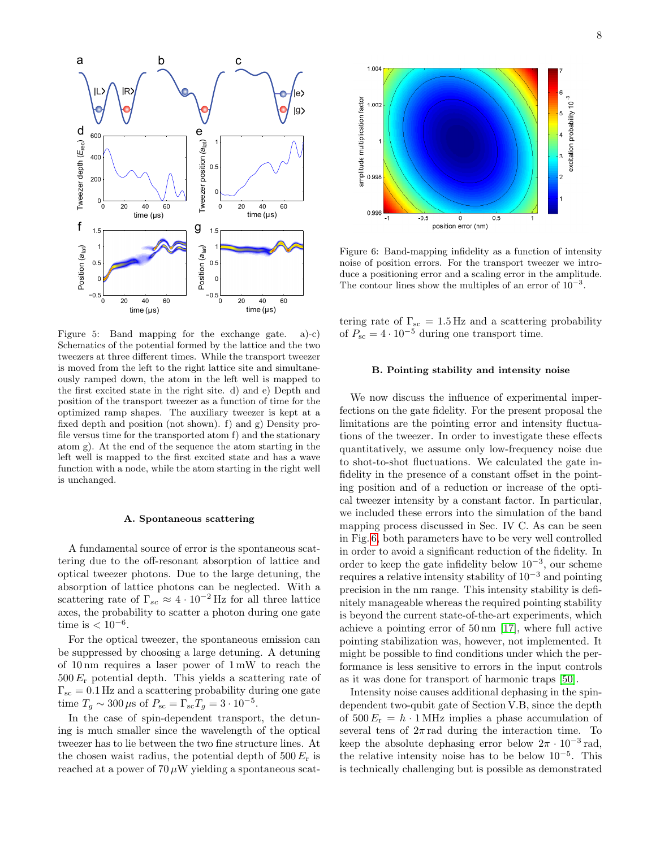

<span id="page-7-0"></span>Figure 5: Band mapping for the exchange gate. a)-c) Schematics of the potential formed by the lattice and the two tweezers at three different times. While the transport tweezer is moved from the left to the right lattice site and simultaneously ramped down, the atom in the left well is mapped to the first excited state in the right site. d) and e) Depth and position of the transport tweezer as a function of time for the optimized ramp shapes. The auxiliary tweezer is kept at a fixed depth and position (not shown). f) and g) Density profile versus time for the transported atom f) and the stationary atom g). At the end of the sequence the atom starting in the left well is mapped to the first excited state and has a wave function with a node, while the atom starting in the right well is unchanged.

### A. Spontaneous scattering

A fundamental source of error is the spontaneous scattering due to the off-resonant absorption of lattice and optical tweezer photons. Due to the large detuning, the absorption of lattice photons can be neglected. With a scattering rate of  $\Gamma_{sc} \approx 4 \cdot 10^{-2}$  Hz for all three lattice axes, the probability to scatter a photon during one gate time is  $< 10^{-6}$ .

For the optical tweezer, the spontaneous emission can be suppressed by choosing a large detuning. A detuning of 10 nm requires a laser power of 1 mW to reach the  $500 E_r$  potential depth. This yields a scattering rate of  $\Gamma_{\rm sc} = 0.1$  Hz and a scattering probability during one gate time  $T_g \sim 300 \,\mu s$  of  $P_{sc} = \Gamma_{sc} T_g = 3 \cdot 10^{-5}$ .

In the case of spin-dependent transport, the detuning is much smaller since the wavelength of the optical tweezer has to lie between the two fine structure lines. At the chosen waist radius, the potential depth of  $500 E_r$  is reached at a power of  $70 \mu W$  yielding a spontaneous scat-



<span id="page-7-1"></span>Figure 6: Band-mapping infidelity as a function of intensity noise of position errors. For the transport tweezer we introduce a positioning error and a scaling error in the amplitude. The contour lines show the multiples of an error of  $10^{-3}$ .

tering rate of  $\Gamma_{\rm sc}$  = 1.5 Hz and a scattering probability of  $P_{\text{sc}} = 4 \cdot 10^{-5}$  during one transport time.

# B. Pointing stability and intensity noise

We now discuss the influence of experimental imperfections on the gate fidelity. For the present proposal the limitations are the pointing error and intensity fluctuations of the tweezer. In order to investigate these effects quantitatively, we assume only low-frequency noise due to shot-to-shot fluctuations. We calculated the gate infidelity in the presence of a constant offset in the pointing position and of a reduction or increase of the optical tweezer intensity by a constant factor. In particular, we included these errors into the simulation of the band mapping process discussed in Sec. IV C. As can be seen in Fig. [6,](#page-7-1) both parameters have to be very well controlled in order to avoid a significant reduction of the fidelity. In order to keep the gate infidelity below  $10^{-3}$ , our scheme requires a relative intensity stability of  $10^{-3}$  and pointing precision in the nm range. This intensity stability is definitely manageable whereas the required pointing stability is beyond the current state-of-the-art experiments, which achieve a pointing error of 50 nm [\[17\]](#page-8-14), where full active pointing stabilization was, however, not implemented. It might be possible to find conditions under which the performance is less sensitive to errors in the input controls as it was done for transport of harmonic traps [\[50\]](#page-9-15).

Intensity noise causes additional dephasing in the spindependent two-qubit gate of Section V.B, since the depth of  $500 E_r = h \cdot 1 \text{ MHz}$  implies a phase accumulation of several tens of  $2\pi$  rad during the interaction time. To keep the absolute dephasing error below  $2\pi \cdot 10^{-3}$  rad, the relative intensity noise has to be below 10<sup>−</sup><sup>5</sup> . This is technically challenging but is possible as demonstrated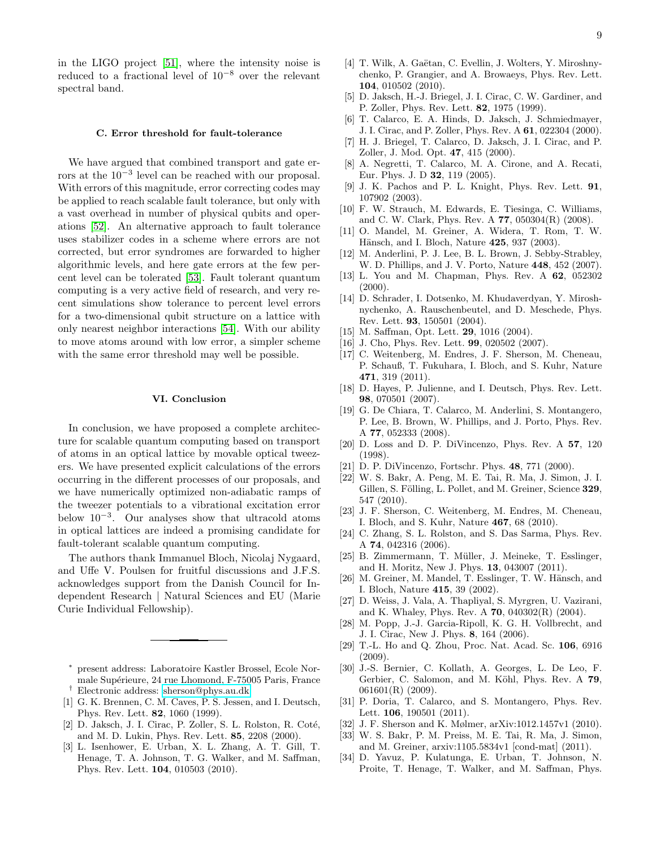in the LIGO project [\[51\]](#page-9-16), where the intensity noise is reduced to a fractional level of 10−<sup>8</sup> over the relevant spectral band.

### C. Error threshold for fault-tolerance

We have argued that combined transport and gate errors at the 10−<sup>3</sup> level can be reached with our proposal. With errors of this magnitude, error correcting codes may be applied to reach scalable fault tolerance, but only with a vast overhead in number of physical qubits and operations [\[52\]](#page-9-17). An alternative approach to fault tolerance uses stabilizer codes in a scheme where errors are not corrected, but error syndromes are forwarded to higher algorithmic levels, and here gate errors at the few percent level can be tolerated [\[53\]](#page-9-18). Fault tolerant quantum computing is a very active field of research, and very recent simulations show tolerance to percent level errors for a two-dimensional qubit structure on a lattice with only nearest neighbor interactions [\[54\]](#page-9-19). With our ability to move atoms around with low error, a simpler scheme with the same error threshold may well be possible.

# VI. Conclusion

In conclusion, we have proposed a complete architecture for scalable quantum computing based on transport of atoms in an optical lattice by movable optical tweezers. We have presented explicit calculations of the errors occurring in the different processes of our proposals, and we have numerically optimized non-adiabatic ramps of the tweezer potentials to a vibrational excitation error below 10<sup>−</sup><sup>3</sup> . Our analyses show that ultracold atoms in optical lattices are indeed a promising candidate for fault-tolerant scalable quantum computing.

The authors thank Immanuel Bloch, Nicolaj Nygaard, and Uffe V. Poulsen for fruitful discussions and J.F.S. acknowledges support from the Danish Council for Independent Research | Natural Sciences and EU (Marie Curie Individual Fellowship).

- <span id="page-8-0"></span><sup>∗</sup> present address: Laboratoire Kastler Brossel, Ecole Normale Supérieure, 24 rue Lhomond, F-75005 Paris, France † Electronic address: [sherson@phys.au.dk](mailto:sherson@phys.au.dk)
- <span id="page-8-2"></span><span id="page-8-1"></span>[1] G. K. Brennen, C. M. Caves, P. S. Jessen, and I. Deutsch, Phys. Rev. Lett. 82, 1060 (1999).
- <span id="page-8-3"></span>[2] D. Jaksch, J. I. Cirac, P. Zoller, S. L. Rolston, R. Coté, and M. D. Lukin, Phys. Rev. Lett. 85, 2208 (2000).
- <span id="page-8-4"></span>[3] L. Isenhower, E. Urban, X. L. Zhang, A. T. Gill, T. Henage, T. A. Johnson, T. G. Walker, and M. Saffman, Phys. Rev. Lett. 104, 010503 (2010).
- <span id="page-8-5"></span>[4] T. Wilk, A. Gaëtan, C. Evellin, J. Wolters, Y. Miroshnychenko, P. Grangier, and A. Browaeys, Phys. Rev. Lett. 104, 010502 (2010).
- <span id="page-8-6"></span>[5] D. Jaksch, H.-J. Briegel, J. I. Cirac, C. W. Gardiner, and P. Zoller, Phys. Rev. Lett. 82, 1975 (1999).
- [6] T. Calarco, E. A. Hinds, D. Jaksch, J. Schmiedmayer, J. I. Cirac, and P. Zoller, Phys. Rev. A 61, 022304 (2000).
- [7] H. J. Briegel, T. Calarco, D. Jaksch, J. I. Cirac, and P. Zoller, J. Mod. Opt. 47, 415 (2000).
- <span id="page-8-7"></span>[8] A. Negretti, T. Calarco, M. A. Cirone, and A. Recati, Eur. Phys. J. D 32, 119 (2005).
- <span id="page-8-8"></span>[9] J. K. Pachos and P. L. Knight, Phys. Rev. Lett. 91, 107902 (2003).
- <span id="page-8-9"></span>[10] F. W. Strauch, M. Edwards, E. Tiesinga, C. Williams, and C. W. Clark, Phys. Rev. A 77, 050304(R) (2008).
- <span id="page-8-10"></span>[11] O. Mandel, M. Greiner, A. Widera, T. Rom, T. W. Hänsch, and I. Bloch, Nature 425, 937 (2003).
- <span id="page-8-11"></span>[12] M. Anderlini, P. J. Lee, B. L. Brown, J. Sebby-Strabley, W. D. Phillips, and J. V. Porto, Nature 448, 452 (2007).
- <span id="page-8-12"></span>[13] L. You and M. Chapman, Phys. Rev. A 62, 052302 (2000).
- <span id="page-8-30"></span>[14] D. Schrader, I. Dotsenko, M. Khudaverdyan, Y. Miroshnychenko, A. Rauschenbeutel, and D. Meschede, Phys. Rev. Lett. 93, 150501 (2004).
- [15] M. Saffman, Opt. Lett. **29**, 1016 (2004).
- <span id="page-8-13"></span>[16] J. Cho, Phys. Rev. Lett. **99**, 020502 (2007).
- <span id="page-8-14"></span>[17] C. Weitenberg, M. Endres, J. F. Sherson, M. Cheneau, P. Schauß, T. Fukuhara, I. Bloch, and S. Kuhr, Nature 471, 319 (2011).
- <span id="page-8-15"></span>[18] D. Hayes, P. Julienne, and I. Deutsch, Phys. Rev. Lett. 98, 070501 (2007).
- <span id="page-8-16"></span>[19] G. De Chiara, T. Calarco, M. Anderlini, S. Montangero, P. Lee, B. Brown, W. Phillips, and J. Porto, Phys. Rev. A 77, 052333 (2008).
- <span id="page-8-17"></span>[20] D. Loss and D. P. DiVincenzo, Phys. Rev. A 57, 120 (1998).
- <span id="page-8-18"></span>[21] D. P. DiVincenzo, Fortschr. Phys. 48, 771 (2000).
- <span id="page-8-19"></span>[22] W. S. Bakr, A. Peng, M. E. Tai, R. Ma, J. Simon, J. I. Gillen, S. Fölling, L. Pollet, and M. Greiner, Science 329, 547 (2010).
- <span id="page-8-20"></span>[23] J. F. Sherson, C. Weitenberg, M. Endres, M. Cheneau, I. Bloch, and S. Kuhr, Nature 467, 68 (2010).
- <span id="page-8-21"></span>[24] C. Zhang, S. L. Rolston, and S. Das Sarma, Phys. Rev. A 74, 042316 (2006).
- <span id="page-8-22"></span>[25] B. Zimmermann, T. Müller, J. Meineke, T. Esslinger, and H. Moritz, New J. Phys. 13, 043007 (2011).
- <span id="page-8-23"></span>[26] M. Greiner, M. Mandel, T. Esslinger, T. W. Hänsch, and I. Bloch, Nature 415, 39 (2002).
- <span id="page-8-24"></span>[27] D. Weiss, J. Vala, A. Thapliyal, S. Myrgren, U. Vazirani, and K. Whaley, Phys. Rev. A 70, 040302(R) (2004).
- <span id="page-8-25"></span>[28] M. Popp, J.-J. Garcia-Ripoll, K. G. H. Vollbrecht, and J. I. Cirac, New J. Phys. 8, 164 (2006).
- [29] T.-L. Ho and Q. Zhou, Proc. Nat. Acad. Sc. 106, 6916 (2009).
- [30] J.-S. Bernier, C. Kollath, A. Georges, L. De Leo, F. Gerbier, C. Salomon, and M. Köhl, Phys. Rev. A 79, 061601(R) (2009).
- <span id="page-8-26"></span>[31] P. Doria, T. Calarco, and S. Montangero, Phys. Rev. Lett. 106, 190501 (2011).
- <span id="page-8-27"></span>[32] J. F. Sherson and K. Mølmer, arXiv:1012.1457v1 (2010).<br>[33] W. S. Bakr, P. M. Preiss, M. E. Tai, R. Ma, J. Simon,
- <span id="page-8-28"></span>[33] W. S. Bakr, P. M. Preiss, M. E. Tai, R. Ma, J. Simon, and M. Greiner, arxiv:1105.5834v1 [cond-mat] (2011).
- <span id="page-8-29"></span>[34] D. Yavuz, P. Kulatunga, E. Urban, T. Johnson, N. Proite, T. Henage, T. Walker, and M. Saffman, Phys.